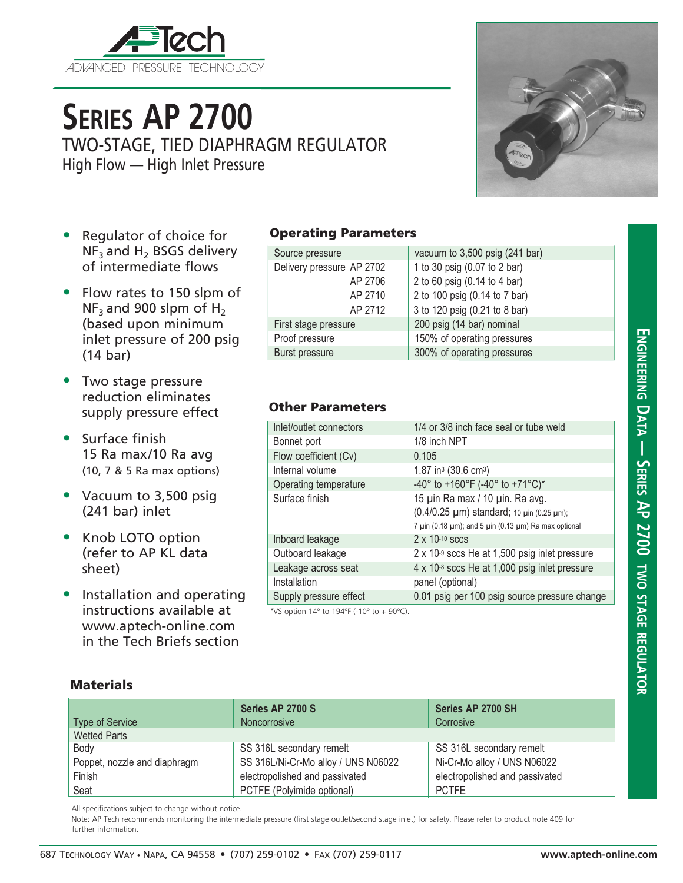

# **Series AP 2700**

TWO-STAGE, TIED DIAPHRAGM REGULATOR

High Flow — High Inlet Pressure



- Regulator of choice for  $NF<sub>3</sub>$  and H<sub>2</sub> BSGS delivery of intermediate flows
- Flow rates to 150 slpm of  $NF_3$  and 900 slpm of H<sub>2</sub> (based upon minimum inlet pressure of 200 psig (14 bar)
- Two stage pressure reduction eliminates supply pressure effect
- Surface finish 15 Ra max/10 Ra avg (10, 7 & 5 Ra max options)
- Vacuum to 3,500 psig (241 bar) inlet
- Knob LOTO option (refer to AP KL data sheet)
- Installation and operating instructions available at www.aptech-online.com in the Tech Briefs section

### Operating Parameters

| Source pressure           | vacuum to 3,500 psig (241 bar) |  |
|---------------------------|--------------------------------|--|
| Delivery pressure AP 2702 | 1 to 30 psig (0.07 to 2 bar)   |  |
| AP 2706                   | 2 to 60 psig (0.14 to 4 bar)   |  |
| AP 2710                   | 2 to 100 psig (0.14 to 7 bar)  |  |
| AP 2712                   | 3 to 120 psig (0.21 to 8 bar)  |  |
| First stage pressure      | 200 psig (14 bar) nominal      |  |
| Proof pressure            | 150% of operating pressures    |  |
| <b>Burst pressure</b>     | 300% of operating pressures    |  |

### Other Parameters

| Inlet/outlet connectors | 1/4 or 3/8 inch face seal or tube weld                                                                                                                   |  |
|-------------------------|----------------------------------------------------------------------------------------------------------------------------------------------------------|--|
| Bonnet port             | 1/8 inch NPT                                                                                                                                             |  |
| Flow coefficient (Cv)   | 0.105                                                                                                                                                    |  |
| Internal volume         | 1.87 in <sup>3</sup> (30.6 cm <sup>3</sup> )                                                                                                             |  |
| Operating temperature   | -40° to +160°F (-40° to +71°C)*                                                                                                                          |  |
| Surface finish          | 15 µin Ra max / 10 µin. Ra avg.<br>(0.4/0.25 µm) standard; 10 µin (0.25 µm);<br>7 $\mu$ in (0.18 $\mu$ m); and 5 $\mu$ in (0.13 $\mu$ m) Ra max optional |  |
| Inboard leakage         | 2 x 10-10 sccs                                                                                                                                           |  |
| Outboard leakage        | $2 \times 10^{-9}$ sccs He at 1,500 psig inlet pressure                                                                                                  |  |
| Leakage across seat     | 4 x 10-8 sccs He at 1,000 psig inlet pressure                                                                                                            |  |
| Installation            | panel (optional)                                                                                                                                         |  |
| Supply pressure effect  | 0.01 psig per 100 psig source pressure change                                                                                                            |  |
|                         |                                                                                                                                                          |  |

\*VS option  $14^{\circ}$  to  $194^{\circ}$  (-10 $^{\circ}$  to +  $90^{\circ}$ C).

### **Materials**

| <b>Type of Service</b>       | Series AP 2700 S<br>Noncorrosive    | Series AP 2700 SH<br>Corrosive |
|------------------------------|-------------------------------------|--------------------------------|
| <b>Wetted Parts</b>          |                                     |                                |
| Body                         | SS 316L secondary remelt            | SS 316L secondary remelt       |
| Poppet, nozzle and diaphragm | SS 316L/Ni-Cr-Mo alloy / UNS N06022 | Ni-Cr-Mo alloy / UNS N06022    |
| Finish                       | electropolished and passivated      | electropolished and passivated |
| Seat                         | PCTFE (Polyimide optional)          | <b>PCTFE</b>                   |

All specifications subject to change without notice.

Note: AP Tech recommends monitoring the intermediate pressure (first stage outlet/second stage inlet) for safety. Please refer to product note 409 for further information.